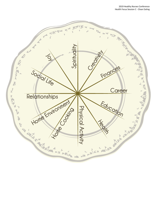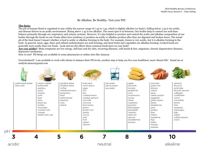## Be Alkaline, Be Healthy- Test your PH!

#### **The facts:**

The pH of human blood is regulated to stay within the narrow range of 7.35 to 7.45, which is slightly alkaline (or basic). Falling below 7.35 is too acidic, and disease thrives in an acidic environment. Rising above 7.45 is too alkaline. The sweet spot is in between. Our bodies help to control our acid-base balance primarily through our respiratory and urinary systems. However, it's also helpful to monitor and control the acidic and alkaline composition of our bodies through the foods we eat.Foods either have tendency to produce an acidic or alkaline product after they are digested and broken down. The actual ph of the food doesn't impact whether a food is acidic or alkaline forming in the body. For example, lemon is very acidic, but it is alkaline forming in the body. In general, meat, eggs, diary and refined carbohydrates are acid forming, and most fruits and vegetables are alkaline forming. Cooked foods are generally more acidic than raw foods. Look and see the effects these common foods have on your body!

**Are you acidic?** Main symptoms are low energy, dull hair and dry skin, recurring illnesses, cold hands & feet, migraines, chronic degenerative diseases, depressive tendencies.

How to test? PH Strips are available in some pharmacies or online sites like Amazon.

Overwhelmed? I am available to work with clients to balance their PH levels, another step to help you live your healthiest, most vibrant life! Email me at emilysb.niesen@gmail.com